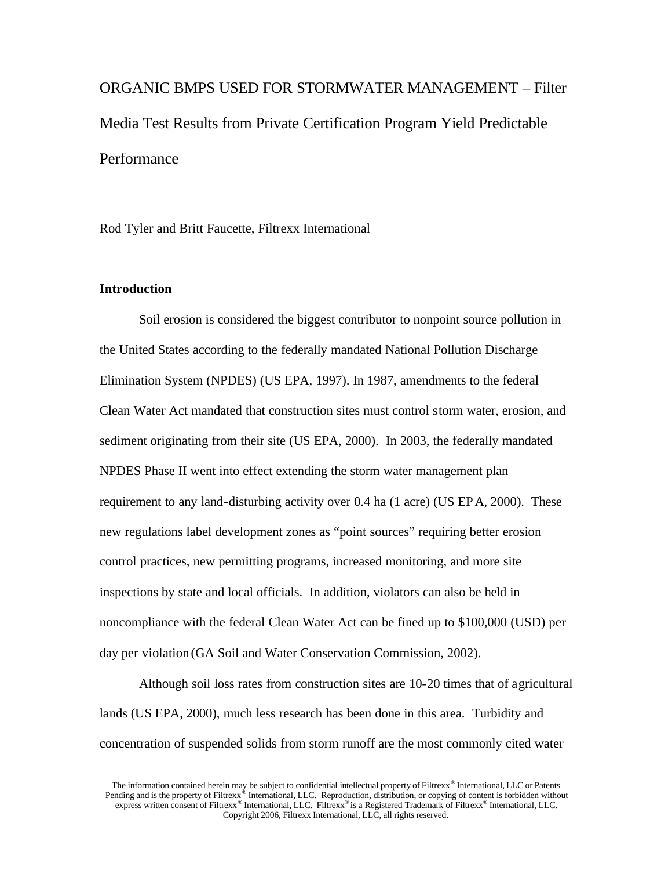ORGANIC BMPS USED FOR STORMWATER MANAGEMENT – Filter Media Test Results from Private Certification Program Yield Predictable **Performance** 

Rod Tyler and Britt Faucette, Filtrexx International

## **Introduction**

Soil erosion is considered the biggest contributor to nonpoint source pollution in the United States according to the federally mandated National Pollution Discharge Elimination System (NPDES) (US EPA, 1997). In 1987, amendments to the federal Clean Water Act mandated that construction sites must control storm water, erosion, and sediment originating from their site (US EPA, 2000). In 2003, the federally mandated NPDES Phase II went into effect extending the storm water management plan requirement to any land-disturbing activity over 0.4 ha (1 acre) (US EPA, 2000). These new regulations label development zones as "point sources" requiring better erosion control practices, new permitting programs, increased monitoring, and more site inspections by state and local officials. In addition, violators can also be held in noncompliance with the federal Clean Water Act can be fined up to \$100,000 (USD) per day per violation (GA Soil and Water Conservation Commission, 2002).

Although soil loss rates from construction sites are 10-20 times that of agricultural lands (US EPA, 2000), much less research has been done in this area. Turbidity and concentration of suspended solids from storm runoff are the most commonly cited water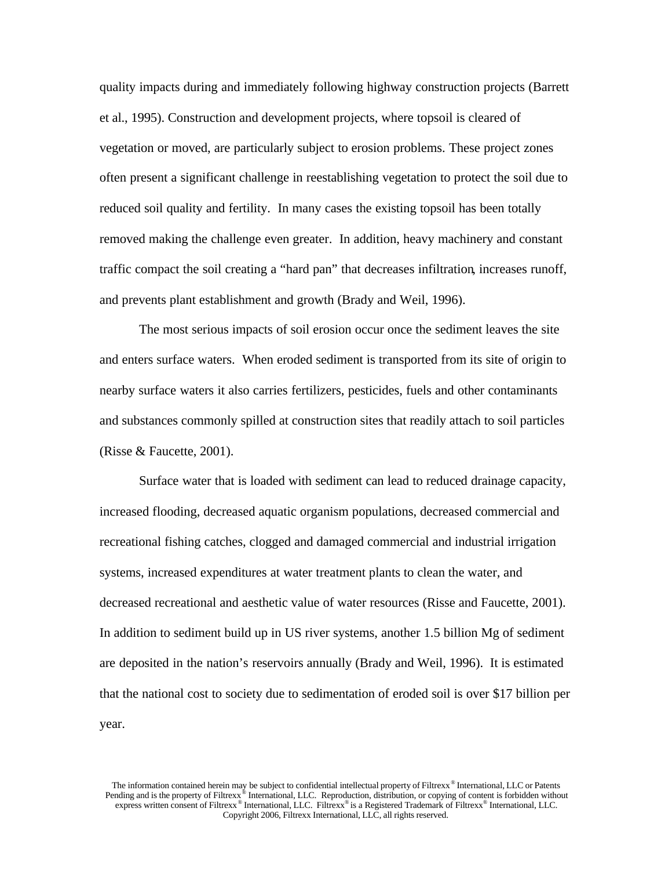quality impacts during and immediately following highway construction projects (Barrett et al., 1995). Construction and development projects, where topsoil is cleared of vegetation or moved, are particularly subject to erosion problems. These project zones often present a significant challenge in reestablishing vegetation to protect the soil due to reduced soil quality and fertility. In many cases the existing topsoil has been totally removed making the challenge even greater. In addition, heavy machinery and constant traffic compact the soil creating a "hard pan" that decreases infiltration, increases runoff, and prevents plant establishment and growth (Brady and Weil, 1996).

The most serious impacts of soil erosion occur once the sediment leaves the site and enters surface waters. When eroded sediment is transported from its site of origin to nearby surface waters it also carries fertilizers, pesticides, fuels and other contaminants and substances commonly spilled at construction sites that readily attach to soil particles (Risse & Faucette, 2001).

Surface water that is loaded with sediment can lead to reduced drainage capacity, increased flooding, decreased aquatic organism populations, decreased commercial and recreational fishing catches, clogged and damaged commercial and industrial irrigation systems, increased expenditures at water treatment plants to clean the water, and decreased recreational and aesthetic value of water resources (Risse and Faucette, 2001). In addition to sediment build up in US river systems, another 1.5 billion Mg of sediment are deposited in the nation's reservoirs annually (Brady and Weil, 1996). It is estimated that the national cost to society due to sedimentation of eroded soil is over \$17 billion per year.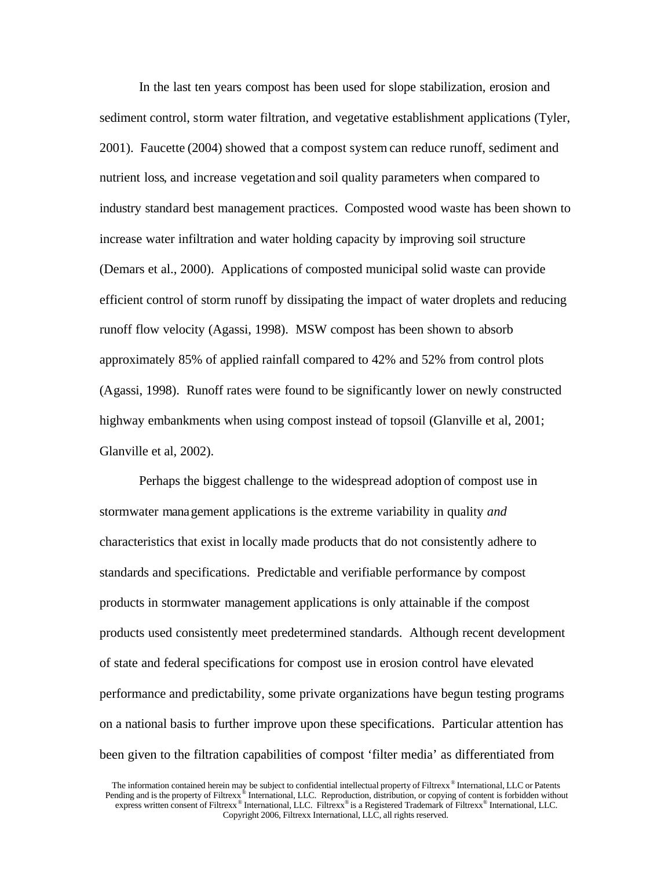In the last ten years compost has been used for slope stabilization, erosion and sediment control, storm water filtration, and vegetative establishment applications (Tyler, 2001). Faucette (2004) showed that a compost system can reduce runoff, sediment and nutrient loss, and increase vegetation and soil quality parameters when compared to industry standard best management practices. Composted wood waste has been shown to increase water infiltration and water holding capacity by improving soil structure (Demars et al., 2000). Applications of composted municipal solid waste can provide efficient control of storm runoff by dissipating the impact of water droplets and reducing runoff flow velocity (Agassi, 1998). MSW compost has been shown to absorb approximately 85% of applied rainfall compared to 42% and 52% from control plots (Agassi, 1998). Runoff rates were found to be significantly lower on newly constructed highway embankments when using compost instead of topsoil (Glanville et al, 2001; Glanville et al, 2002).

Perhaps the biggest challenge to the widespread adoption of compost use in stormwater management applications is the extreme variability in quality *and* characteristics that exist in locally made products that do not consistently adhere to standards and specifications. Predictable and verifiable performance by compost products in stormwater management applications is only attainable if the compost products used consistently meet predetermined standards. Although recent development of state and federal specifications for compost use in erosion control have elevated performance and predictability, some private organizations have begun testing programs on a national basis to further improve upon these specifications. Particular attention has been given to the filtration capabilities of compost 'filter media' as differentiated from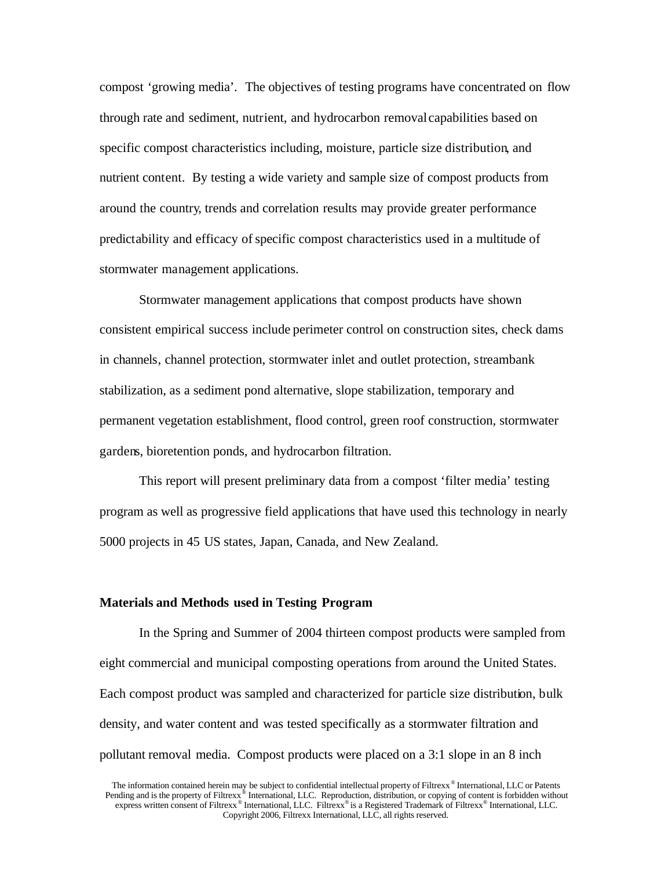compost 'growing media'. The objectives of testing programs have concentrated on flow through rate and sediment, nutrient, and hydrocarbon removal capabilities based on specific compost characteristics including, moisture, particle size distribution, and nutrient content. By testing a wide variety and sample size of compost products from around the country, trends and correlation results may provide greater performance predictability and efficacy ofspecific compost characteristics used in a multitude of stormwater management applications.

Stormwater management applications that compost products have shown consistent empirical success include perimeter control on construction sites, check dams in channels, channel protection, stormwater inlet and outlet protection, streambank stabilization, as a sediment pond alternative, slope stabilization, temporary and permanent vegetation establishment, flood control, green roof construction, stormwater gardens, bioretention ponds, and hydrocarbon filtration.

This report will present preliminary data from a compost 'filter media' testing program as well as progressive field applications that have used this technology in nearly 5000 projects in 45 US states, Japan, Canada, and New Zealand.

### **Materials and Methods used in Testing Program**

In the Spring and Summer of 2004 thirteen compost products were sampled from eight commercial and municipal composting operations from around the United States. Each compost product was sampled and characterized for particle size distribution, bulk density, and water content and was tested specifically as a stormwater filtration and pollutant removal media. Compost products were placed on a 3:1 slope in an 8 inch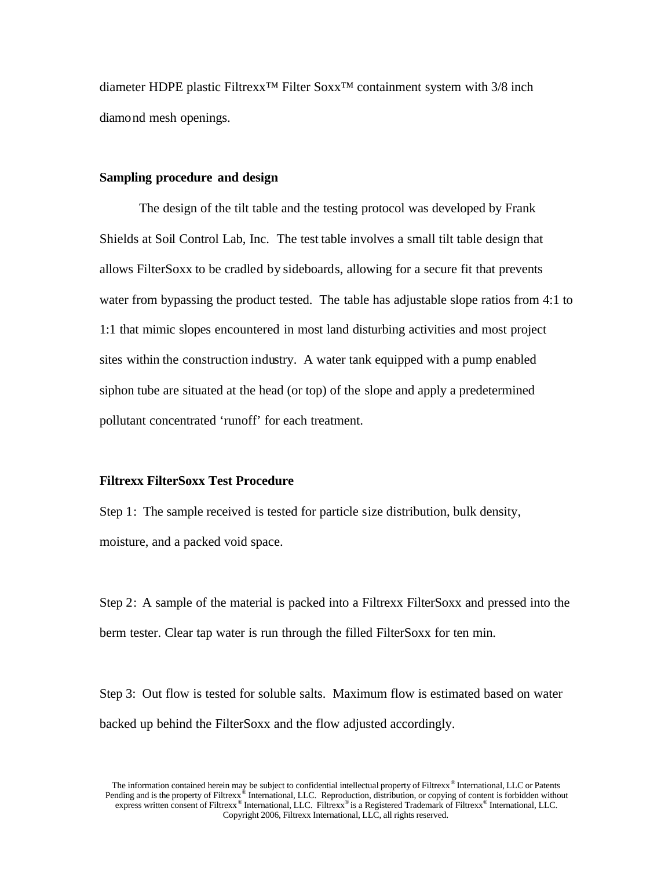diameter HDPE plastic Filtrexx™ Filter Soxx™ containment system with 3/8 inch diamond mesh openings.

### **Sampling procedure and design**

The design of the tilt table and the testing protocol was developed by Frank Shields at Soil Control Lab, Inc. The test table involves a small tilt table design that allows FilterSoxx to be cradled by sideboards, allowing for a secure fit that prevents water from bypassing the product tested. The table has adjustable slope ratios from 4:1 to 1:1 that mimic slopes encountered in most land disturbing activities and most project sites within the construction industry. A water tank equipped with a pump enabled siphon tube are situated at the head (or top) of the slope and apply a predetermined pollutant concentrated 'runoff' for each treatment.

### **Filtrexx FilterSoxx Test Procedure**

Step 1: The sample received is tested for particle size distribution, bulk density, moisture, and a packed void space.

Step 2: A sample of the material is packed into a Filtrexx FilterSoxx and pressed into the berm tester. Clear tap water is run through the filled FilterSoxx for ten min.

Step 3: Out flow is tested for soluble salts. Maximum flow is estimated based on water backed up behind the FilterSoxx and the flow adjusted accordingly.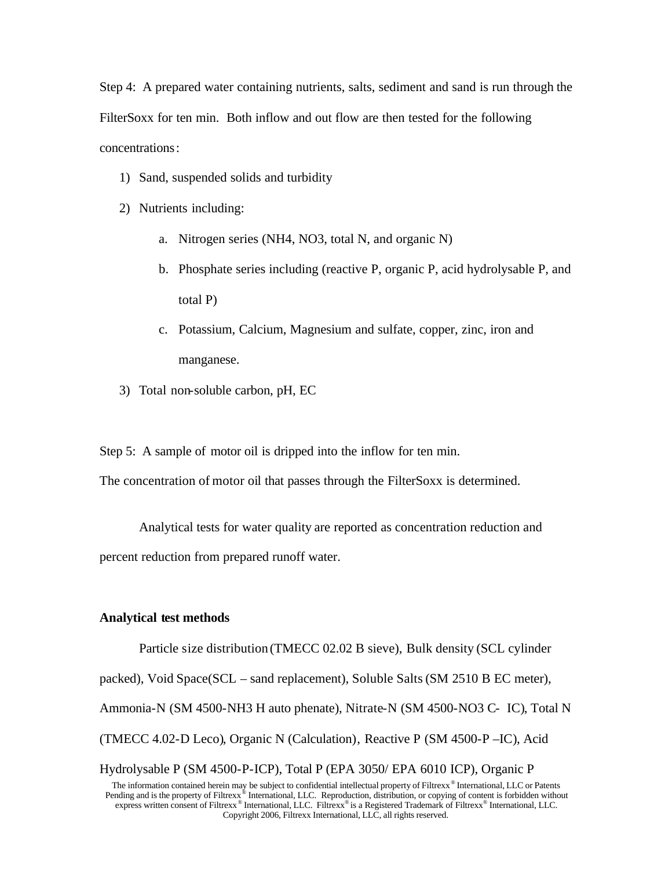Step 4: A prepared water containing nutrients, salts, sediment and sand is run through the FilterSoxx for ten min. Both inflow and out flow are then tested for the following concentrations:

- 1) Sand, suspended solids and turbidity
- 2) Nutrients including:
	- a. Nitrogen series (NH4, NO3, total N, and organic N)
	- b. Phosphate series including (reactive P, organic P, acid hydrolysable P, and total P)
	- c. Potassium, Calcium, Magnesium and sulfate, copper, zinc, iron and manganese.
- 3) Total non-soluble carbon, pH, EC

Step 5: A sample of motor oil is dripped into the inflow for ten min.

The concentration of motor oil that passes through the FilterSoxx is determined.

Analytical tests for water quality are reported as concentration reduction and percent reduction from prepared runoff water.

## **Analytical test methods**

Particle size distribution (TMECC 02.02 B sieve), Bulk density (SCL cylinder packed), Void Space(SCL – sand replacement), Soluble Salts (SM 2510 B EC meter), Ammonia-N (SM 4500-NH3 H auto phenate), Nitrate-N (SM 4500-NO3 C- IC), Total N (TMECC 4.02-D Leco), Organic N (Calculation), Reactive P (SM 4500-P –IC), Acid Hydrolysable P (SM 4500-P-ICP), Total P (EPA 3050/ EPA 6010 ICP), Organic P

The information contained herein may be subject to confidential intellectual property of Filtrexx® International, LLC or Patents Pending and is the property of Filtrexx<sup>®</sup> International, LLC. Reproduction, distribution, or copying of content is forbidden without express written consent of Filtrexx<sup>®</sup> International, LLC. Filtrexx<sup>®</sup> is a Registered T Copyright 2006, Filtrexx International, LLC, all rights reserved.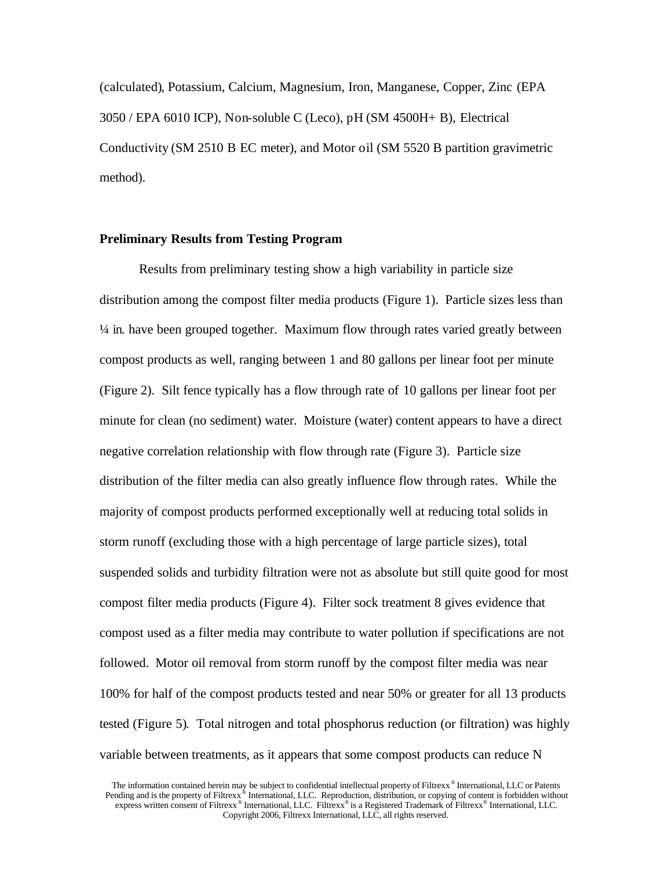(calculated), Potassium, Calcium, Magnesium, Iron, Manganese, Copper, Zinc (EPA 3050 / EPA 6010 ICP), Non-soluble C (Leco), pH (SM 4500H+ B), Electrical Conductivity (SM 2510 B EC meter), and Motor oil (SM 5520 B partition gravimetric method).

### **Preliminary Results from Testing Program**

Results from preliminary testing show a high variability in particle size distribution among the compost filter media products (Figure 1). Particle sizes less than ¼ in. have been grouped together. Maximum flow through rates varied greatly between compost products as well, ranging between 1 and 80 gallons per linear foot per minute (Figure 2). Silt fence typically has a flow through rate of 10 gallons per linear foot per minute for clean (no sediment) water. Moisture (water) content appears to have a direct negative correlation relationship with flow through rate (Figure 3). Particle size distribution of the filter media can also greatly influence flow through rates. While the majority of compost products performed exceptionally well at reducing total solids in storm runoff (excluding those with a high percentage of large particle sizes), total suspended solids and turbidity filtration were not as absolute but still quite good for most compost filter media products (Figure 4). Filter sock treatment 8 gives evidence that compost used as a filter media may contribute to water pollution if specifications are not followed. Motor oil removal from storm runoff by the compost filter media was near 100% for half of the compost products tested and near 50% or greater for all 13 products tested (Figure 5). Total nitrogen and total phosphorus reduction (or filtration) was highly variable between treatments, as it appears that some compost products can reduce N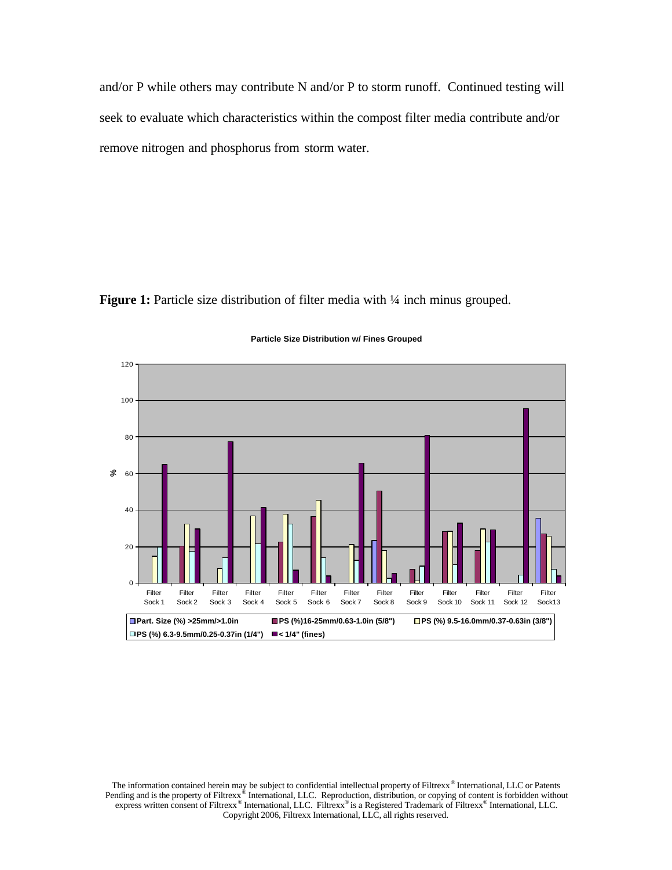and/or P while others may contribute N and/or P to storm runoff. Continued testing will seek to evaluate which characteristics within the compost filter media contribute and/or remove nitrogen and phosphorus from storm water.

**Figure 1:** Particle size distribution of filter media with  $\frac{1}{4}$  inch minus grouped.



#### **Particle Size Distribution w/ Fines Grouped**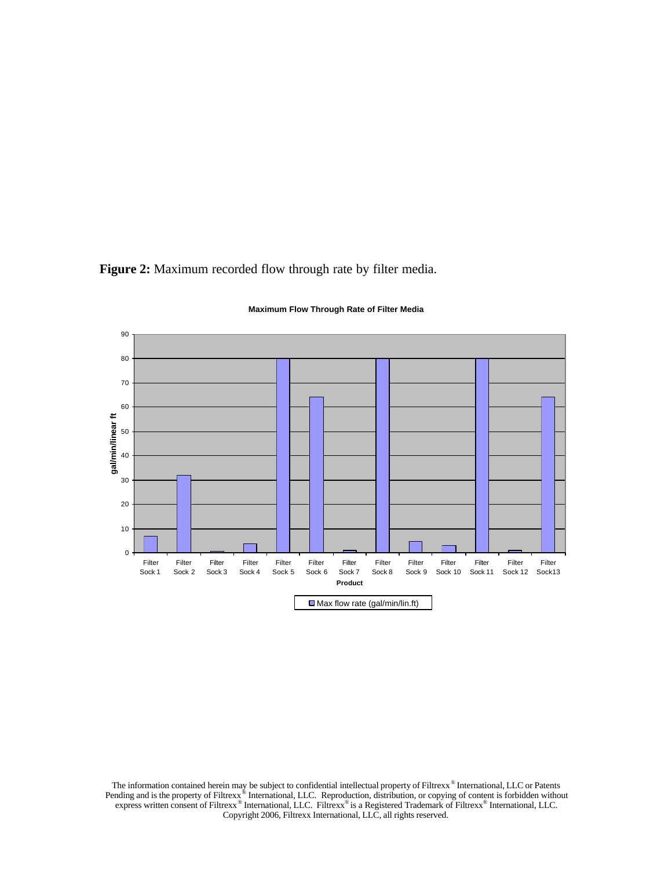**Figure 2:** Maximum recorded flow through rate by filter media.



**Maximum Flow Through Rate of Filter Media**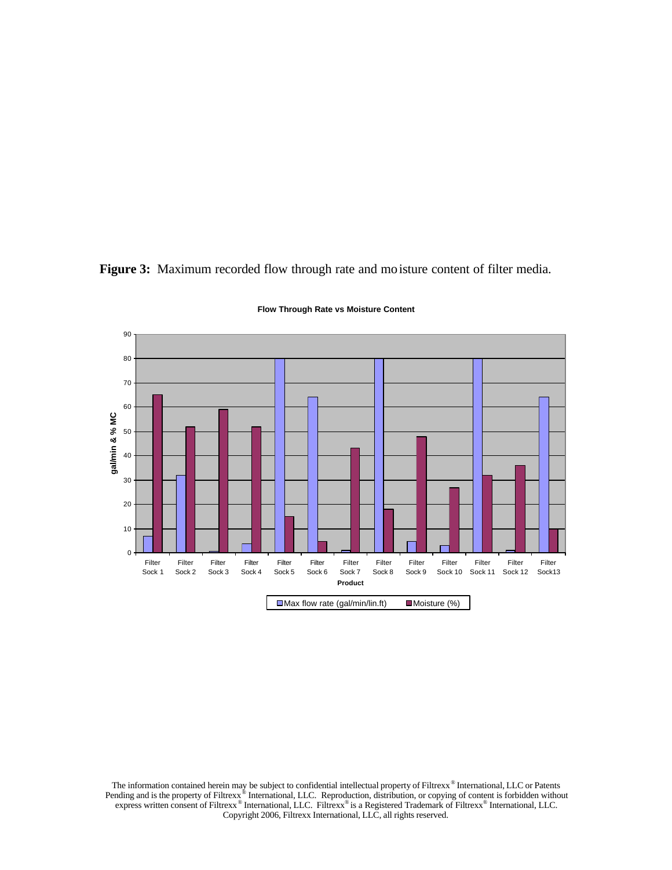**Figure 3:** Maximum recorded flow through rate and moisture content of filter media.



**Flow Through Rate vs Moisture Content**

The information contained herein may be subject to confidential intellectual property of Filtrexx<sup>®</sup> International, LLC or Patents<br>Pending and is the property of Filtrexx<sup>®</sup> International, LLC. Reproduction, distribution, Copyright 2006, Filtrexx International, LLC, all rights reserved.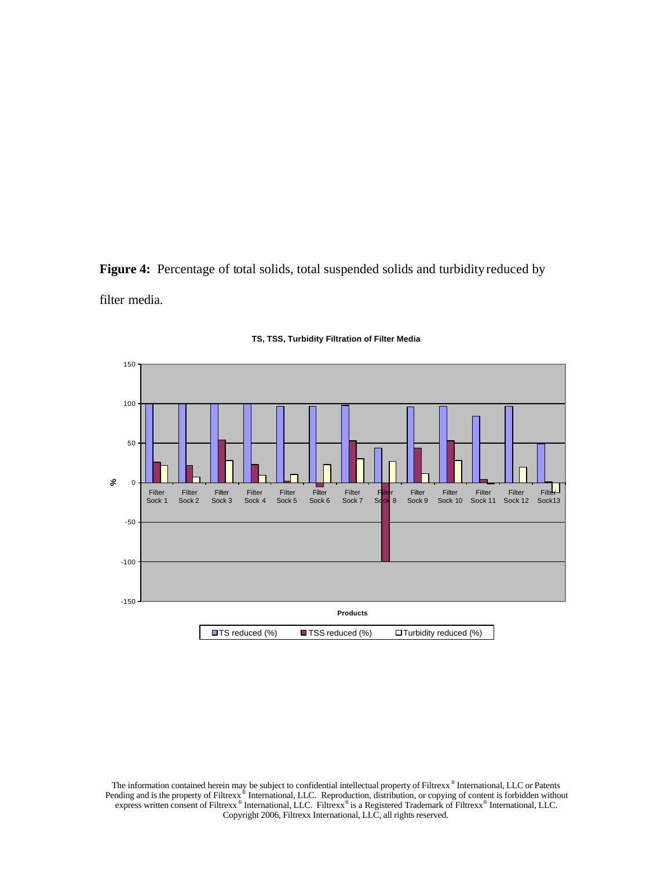Figure 4: Percentage of total solids, total suspended solids and turbidity reduced by filter media.



### **TS, TSS, Turbidity Filtration of Filter Media**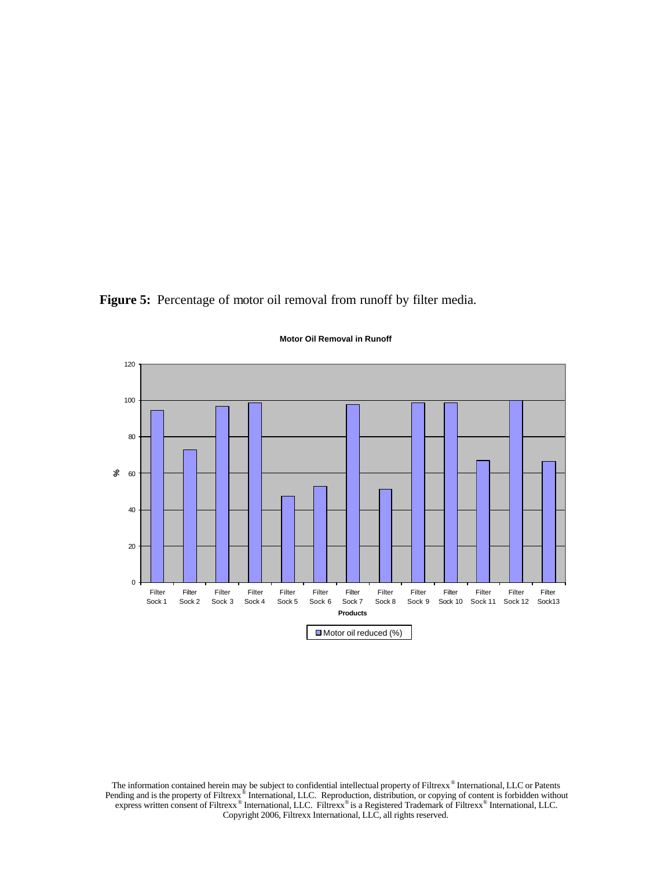Figure 5: Percentage of motor oil removal from runoff by filter media.



**Motor Oil Removal in Runoff**

The information contained herein may be subject to confidential intellectual property of Filtrexx<sup>®</sup> International, LLC or Patents<br>Pending and is the property of Filtrexx<sup>®</sup> International, LLC. Reproduction, distribution, Copyright 2006, Filtrexx International, LLC, all rights reserved.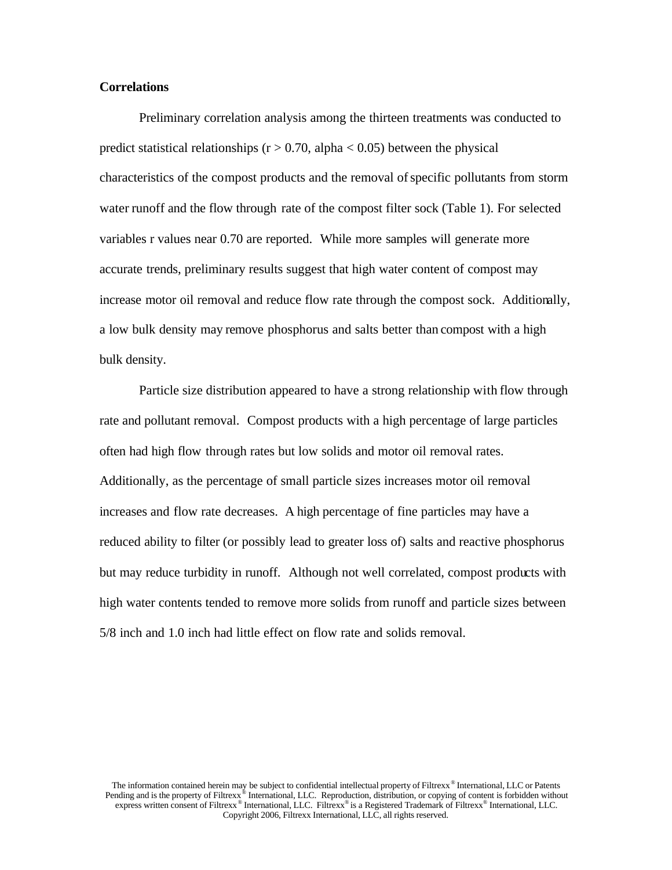### **Correlations**

Preliminary correlation analysis among the thirteen treatments was conducted to predict statistical relationships ( $r > 0.70$ , alpha < 0.05) between the physical characteristics of the compost products and the removal of specific pollutants from storm water runoff and the flow through rate of the compost filter sock (Table 1). For selected variables r values near 0.70 are reported. While more samples will generate more accurate trends, preliminary results suggest that high water content of compost may increase motor oil removal and reduce flow rate through the compost sock. Additionally, a low bulk density may remove phosphorus and salts better than compost with a high bulk density.

Particle size distribution appeared to have a strong relationship with flow through rate and pollutant removal. Compost products with a high percentage of large particles often had high flow through rates but low solids and motor oil removal rates. Additionally, as the percentage of small particle sizes increases motor oil removal increases and flow rate decreases. A high percentage of fine particles may have a reduced ability to filter (or possibly lead to greater loss of) salts and reactive phosphorus but may reduce turbidity in runoff. Although not well correlated, compost products with high water contents tended to remove more solids from runoff and particle sizes between 5/8 inch and 1.0 inch had little effect on flow rate and solids removal.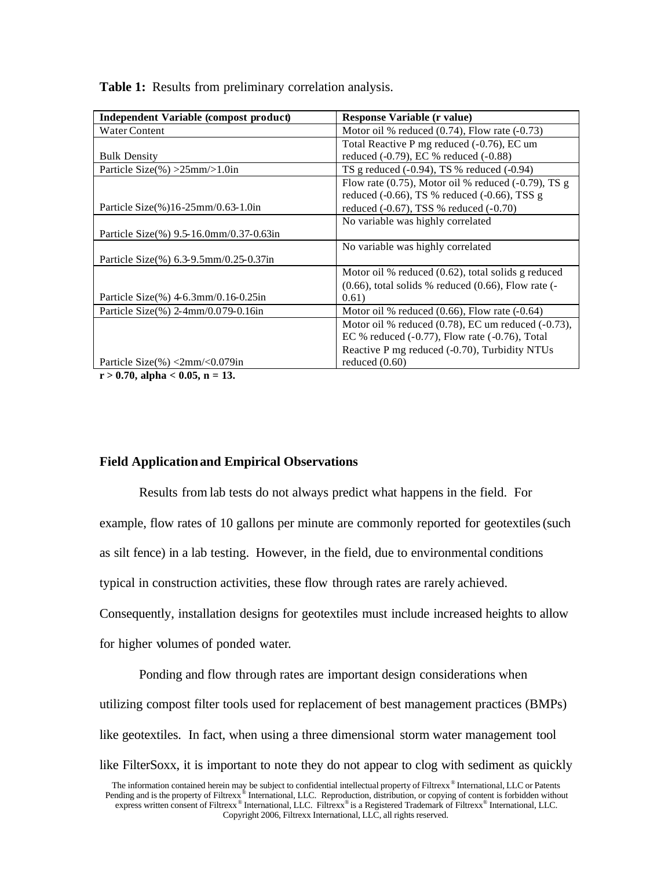| Independent Variable (compost product)       | Response Variable (r value)                                 |
|----------------------------------------------|-------------------------------------------------------------|
| Water Content                                | Motor oil % reduced $(0.74)$ , Flow rate $(-0.73)$          |
|                                              | Total Reactive P mg reduced (-0.76), EC um                  |
| <b>Bulk Density</b>                          | reduced (-0.79), EC % reduced (-0.88)                       |
| Particle Size(%) $>25$ mm $>1.0$ in          | TS g reduced $(-0.94)$ , TS % reduced $(-0.94)$             |
|                                              | Flow rate $(0.75)$ , Motor oil % reduced $(-0.79)$ , TS g   |
|                                              | reduced $(-0.66)$ , TS % reduced $(-0.66)$ , TSS g          |
| Particle Size $(\%)$ 16-25mm/0.63-1.0in      | reduced $(-0.67)$ , TSS % reduced $(-0.70)$                 |
|                                              | No variable was highly correlated                           |
| Particle Size(%) $9.5 - 16.0$ mm/0.37-0.63in |                                                             |
|                                              | No variable was highly correlated                           |
| Particle Size(%) 6.3-9.5mm/0.25-0.37in       |                                                             |
|                                              | Motor oil % reduced (0.62), total solids g reduced          |
|                                              | $(0.66)$ , total solids % reduced $(0.66)$ , Flow rate $(-$ |
| Particle Size $(\% )$ 4-6.3mm/0.16-0.25in    | 0.61)                                                       |
| Particle Size(%) 2-4mm/0.079-0.16in          | Motor oil % reduced $(0.66)$ , Flow rate $(-0.64)$          |
|                                              | Motor oil % reduced $(0.78)$ , EC um reduced $(-0.73)$ ,    |
|                                              | EC % reduced $(-0.77)$ , Flow rate $(-0.76)$ , Total        |
|                                              | Reactive P mg reduced (-0.70), Turbidity NTUs               |
| Particle Size $(\%)<2$ mm/<0.079in           | reduced $(0.60)$                                            |

**Table 1:** Results from preliminary correlation analysis.

**r > 0.70, alpha < 0.05, n = 13.**

# **Field Applicationand Empirical Observations**

Results from lab tests do not always predict what happens in the field. For example, flow rates of 10 gallons per minute are commonly reported for geotextiles (such as silt fence) in a lab testing. However, in the field, due to environmental conditions typical in construction activities, these flow through rates are rarely achieved. Consequently, installation designs for geotextiles must include increased heights to allow for higher volumes of ponded water.

Ponding and flow through rates are important design considerations when utilizing compost filter tools used for replacement of best management practices (BMPs) like geotextiles. In fact, when using a three dimensional storm water management tool like FilterSoxx, it is important to note they do not appear to clog with sediment as quickly

The information contained herein may be subject to confidential intellectual property of Filtrexx® International, LLC or Patents Pending and is the property of Filtrexx<sup>®</sup> International, LLC. Reproduction, distribution, or copying of content is forbidden without express written consent of Filtrexx<sup>®</sup> International, LLC. Filtrexx<sup>®</sup> is a Registered T Copyright 2006, Filtrexx International, LLC, all rights reserved.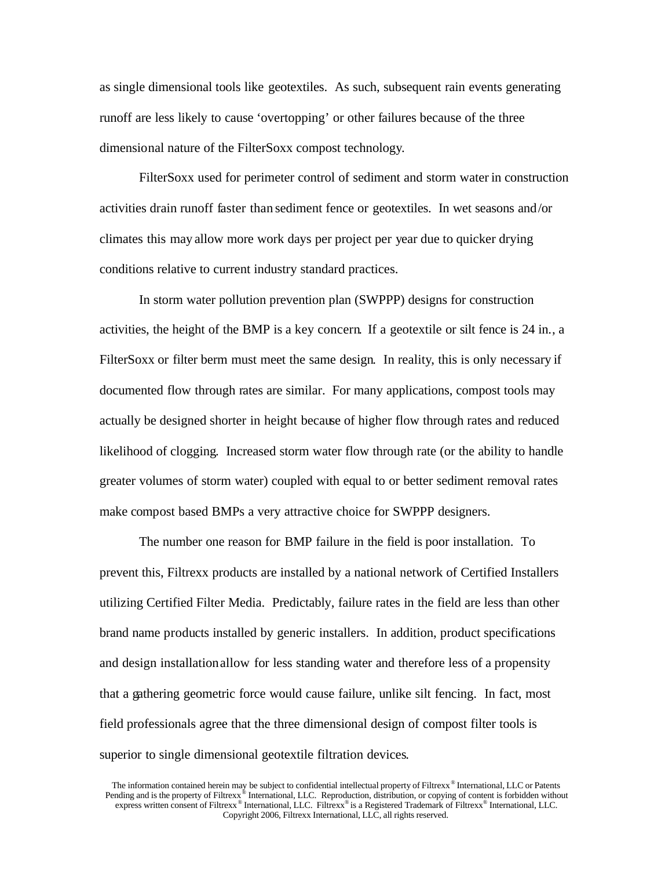as single dimensional tools like geotextiles. As such, subsequent rain events generating runoff are less likely to cause 'overtopping' or other failures because of the three dimensional nature of the FilterSoxx compost technology.

FilterSoxx used for perimeter control of sediment and storm water in construction activities drain runoff faster than sediment fence or geotextiles. In wet seasons and/or climates this may allow more work days per project per year due to quicker drying conditions relative to current industry standard practices.

In storm water pollution prevention plan (SWPPP) designs for construction activities, the height of the BMP is a key concern. If a geotextile or silt fence is 24 in., a FilterSoxx or filter berm must meet the same design. In reality, this is only necessary if documented flow through rates are similar. For many applications, compost tools may actually be designed shorter in height because of higher flow through rates and reduced likelihood of clogging. Increased storm water flow through rate (or the ability to handle greater volumes of storm water) coupled with equal to or better sediment removal rates make compost based BMPs a very attractive choice for SWPPP designers.

The number one reason for BMP failure in the field is poor installation. To prevent this, Filtrexx products are installed by a national network of Certified Installers utilizing Certified Filter Media. Predictably, failure rates in the field are less than other brand name products installed by generic installers. In addition, product specifications and design installation allow for less standing water and therefore less of a propensity that a gathering geometric force would cause failure, unlike silt fencing. In fact, most field professionals agree that the three dimensional design of compost filter tools is superior to single dimensional geotextile filtration devices.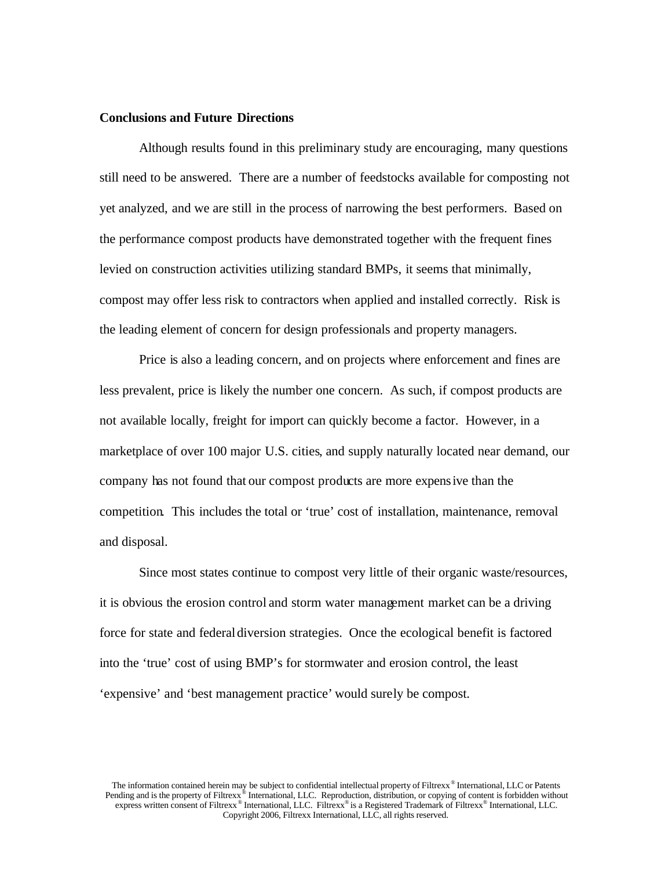### **Conclusions and Future Directions**

Although results found in this preliminary study are encouraging, many questions still need to be answered. There are a number of feedstocks available for composting not yet analyzed, and we are still in the process of narrowing the best performers. Based on the performance compost products have demonstrated together with the frequent fines levied on construction activities utilizing standard BMPs, it seems that minimally, compost may offer less risk to contractors when applied and installed correctly. Risk is the leading element of concern for design professionals and property managers.

Price is also a leading concern, and on projects where enforcement and fines are less prevalent, price is likely the number one concern. As such, if compost products are not available locally, freight for import can quickly become a factor. However, in a marketplace of over 100 major U.S. cities, and supply naturally located near demand, our company has not found that our compost products are more expensive than the competition. This includes the total or 'true' cost of installation, maintenance, removal and disposal.

Since most states continue to compost very little of their organic waste/resources, it is obvious the erosion control and storm water management market can be a driving force for state and federal diversion strategies. Once the ecological benefit is factored into the 'true' cost of using BMP's for stormwater and erosion control, the least 'expensive' and 'best management practice' would surely be compost.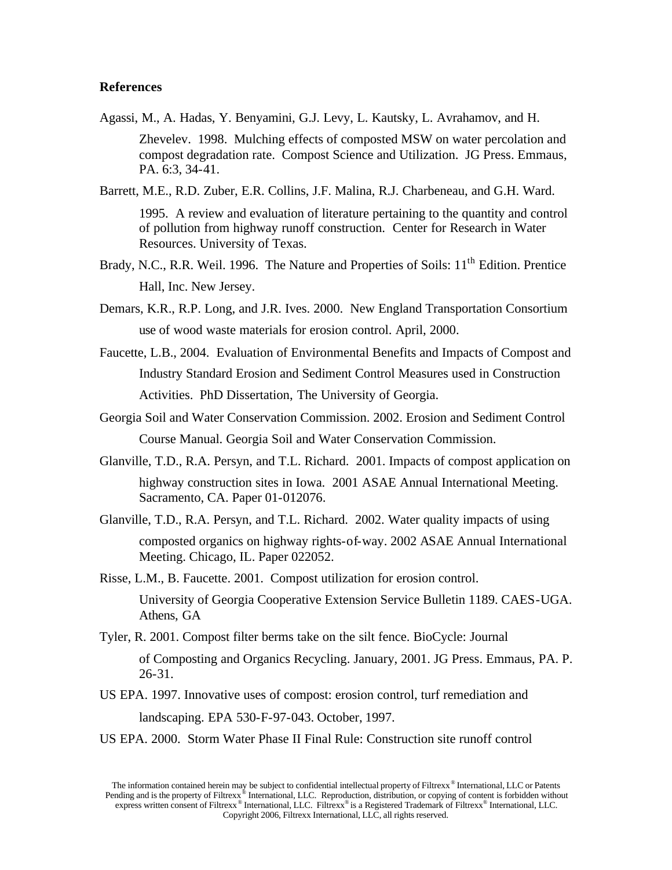## **References**

- Agassi, M., A. Hadas, Y. Benyamini, G.J. Levy, L. Kautsky, L. Avrahamov, and H. Zhevelev. 1998. Mulching effects of composted MSW on water percolation and compost degradation rate. Compost Science and Utilization. JG Press. Emmaus, PA. 6:3, 34-41.
- Barrett, M.E., R.D. Zuber, E.R. Collins, J.F. Malina, R.J. Charbeneau, and G.H. Ward. 1995. A review and evaluation of literature pertaining to the quantity and control of pollution from highway runoff construction. Center for Research in Water Resources. University of Texas.
- Brady, N.C., R.R. Weil. 1996. The Nature and Properties of Soils: 11<sup>th</sup> Edition. Prentice Hall, Inc. New Jersey.
- Demars, K.R., R.P. Long, and J.R. Ives. 2000. New England Transportation Consortium use of wood waste materials for erosion control. April, 2000.
- Faucette, L.B., 2004. Evaluation of Environmental Benefits and Impacts of Compost and Industry Standard Erosion and Sediment Control Measures used in Construction Activities. PhD Dissertation, The University of Georgia.
- Georgia Soil and Water Conservation Commission. 2002. Erosion and Sediment Control Course Manual. Georgia Soil and Water Conservation Commission.
- Glanville, T.D., R.A. Persyn, and T.L. Richard. 2001. Impacts of compost application on highway construction sites in Iowa. 2001 ASAE Annual International Meeting. Sacramento, CA. Paper 01-012076.
- Glanville, T.D., R.A. Persyn, and T.L. Richard. 2002. Water quality impacts of using composted organics on highway rights-of-way. 2002 ASAE Annual International Meeting. Chicago, IL. Paper 022052.
- Risse, L.M., B. Faucette. 2001. Compost utilization for erosion control. University of Georgia Cooperative Extension Service Bulletin 1189. CAES-UGA. Athens, GA
- Tyler, R. 2001. Compost filter berms take on the silt fence. BioCycle: Journal

of Composting and Organics Recycling. January, 2001. JG Press. Emmaus, PA. P. 26-31.

- US EPA. 1997. Innovative uses of compost: erosion control, turf remediation and landscaping. EPA 530-F-97-043. October, 1997.
- US EPA. 2000. Storm Water Phase II Final Rule: Construction site runoff control

The information contained herein may be subject to confidential intellectual property of Filtrexx® International, LLC or Patents Pending and is the property of Filtrexx<sup>®</sup> International, LLC. Reproduction, distribution, or copying of content is forbidden without express written consent of Filtrexx<sup>®</sup> International, LLC. Filtrexx<sup>®</sup> is a Registered T Copyright 2006, Filtrexx International, LLC, all rights reserved.